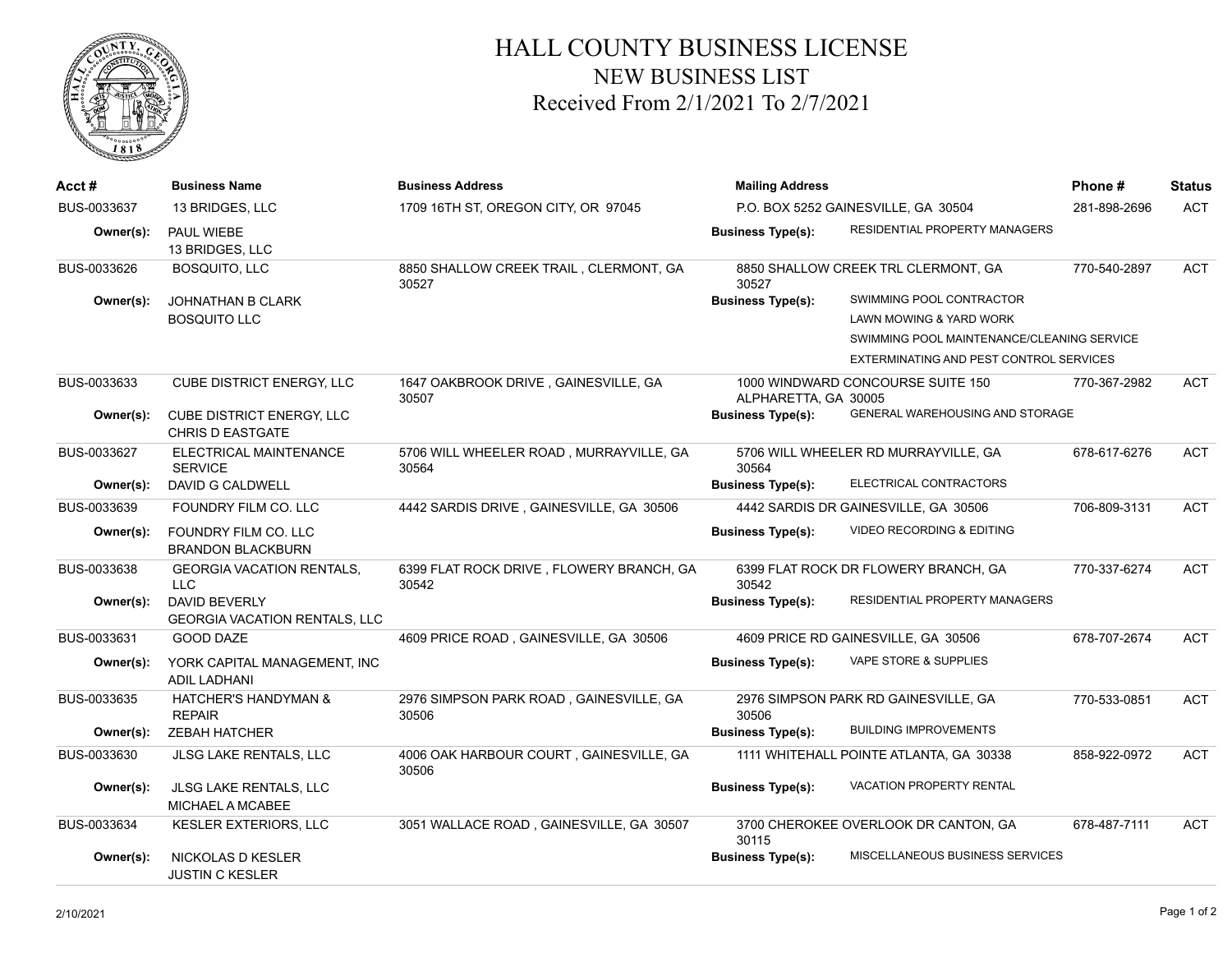

## HALL COUNTY BUSINESS LICENSE NEW BUSINESS LIST Received From 2/1/2021 To 2/7/2021

| Acct #      | <b>Business Name</b>                                  | <b>Business Address</b>                           | <b>Mailing Address</b>              |                                                     | Phone#       | <b>Status</b> |
|-------------|-------------------------------------------------------|---------------------------------------------------|-------------------------------------|-----------------------------------------------------|--------------|---------------|
| BUS-0033637 | 13 BRIDGES, LLC                                       | 1709 16TH ST, OREGON CITY, OR 97045               | P.O. BOX 5252 GAINESVILLE, GA 30504 |                                                     | 281-898-2696 | <b>ACT</b>    |
| Owner(s):   | PAUL WIEBE<br>13 BRIDGES, LLC                         |                                                   | <b>Business Type(s):</b>            | RESIDENTIAL PROPERTY MANAGERS                       |              |               |
| BUS-0033626 | <b>BOSQUITO, LLC</b>                                  | 8850 SHALLOW CREEK TRAIL, CLERMONT, GA<br>30527   | 30527                               | 8850 SHALLOW CREEK TRL CLERMONT, GA                 | 770-540-2897 | <b>ACT</b>    |
| Owner(s):   | JOHNATHAN B CLARK<br><b>BOSQUITO LLC</b>              |                                                   | <b>Business Type(s):</b>            | SWIMMING POOL CONTRACTOR<br>LAWN MOWING & YARD WORK |              |               |
|             |                                                       |                                                   |                                     | SWIMMING POOL MAINTENANCE/CLEANING SERVICE          |              |               |
|             |                                                       |                                                   |                                     | EXTERMINATING AND PEST CONTROL SERVICES             |              |               |
| BUS-0033633 | CUBE DISTRICT ENERGY, LLC                             | 1647 OAKBROOK DRIVE, GAINESVILLE, GA<br>30507     | ALPHARETTA, GA 30005                | 1000 WINDWARD CONCOURSE SUITE 150                   | 770-367-2982 | <b>ACT</b>    |
| Owner(s):   | CUBE DISTRICT ENERGY, LLC<br><b>CHRIS D EASTGATE</b>  |                                                   | <b>Business Type(s):</b>            | GENERAL WAREHOUSING AND STORAGE                     |              |               |
| BUS-0033627 | ELECTRICAL MAINTENANCE<br><b>SERVICE</b>              | 5706 WILL WHEELER ROAD, MURRAYVILLE, GA<br>30564  | 30564                               | 5706 WILL WHEELER RD MURRAYVILLE, GA                | 678-617-6276 | <b>ACT</b>    |
| Owner(s):   | DAVID G CALDWELL                                      |                                                   | <b>Business Type(s):</b>            | ELECTRICAL CONTRACTORS                              |              |               |
| BUS-0033639 | FOUNDRY FILM CO. LLC                                  | 4442 SARDIS DRIVE, GAINESVILLE, GA 30506          |                                     | 4442 SARDIS DR GAINESVILLE, GA 30506                | 706-809-3131 | <b>ACT</b>    |
| Owner(s):   | FOUNDRY FILM CO. LLC<br><b>BRANDON BLACKBURN</b>      |                                                   | <b>Business Type(s):</b>            | VIDEO RECORDING & EDITING                           |              |               |
| BUS-0033638 | <b>GEORGIA VACATION RENTALS,</b><br><b>LLC</b>        | 6399 FLAT ROCK DRIVE, FLOWERY BRANCH, GA<br>30542 | 30542                               | 6399 FLAT ROCK DR FLOWERY BRANCH, GA                | 770-337-6274 | <b>ACT</b>    |
| Owner(s):   | <b>DAVID BEVERLY</b><br>GEORGIA VACATION RENTALS, LLC |                                                   | <b>Business Type(s):</b>            | RESIDENTIAL PROPERTY MANAGERS                       |              |               |
| BUS-0033631 | <b>GOOD DAZE</b>                                      | 4609 PRICE ROAD, GAINESVILLE, GA 30506            |                                     | 4609 PRICE RD GAINESVILLE, GA 30506                 | 678-707-2674 | <b>ACT</b>    |
| Owner(s):   | YORK CAPITAL MANAGEMENT, INC<br><b>ADIL LADHANI</b>   |                                                   | <b>Business Type(s):</b>            | VAPE STORE & SUPPLIES                               |              |               |
| BUS-0033635 | <b>HATCHER'S HANDYMAN &amp;</b><br><b>REPAIR</b>      | 2976 SIMPSON PARK ROAD, GAINESVILLE, GA<br>30506  | 30506                               | 2976 SIMPSON PARK RD GAINESVILLE, GA                | 770-533-0851 | <b>ACT</b>    |
| Owner(s):   | <b>ZEBAH HATCHER</b>                                  |                                                   | <b>Business Type(s):</b>            | <b>BUILDING IMPROVEMENTS</b>                        |              |               |
| BUS-0033630 | <b>JLSG LAKE RENTALS, LLC</b>                         | 4006 OAK HARBOUR COURT, GAINESVILLE, GA<br>30506  |                                     | 1111 WHITEHALL POINTE ATLANTA, GA 30338             | 858-922-0972 | <b>ACT</b>    |
| Owner(s):   | <b>JLSG LAKE RENTALS, LLC</b><br>MICHAEL A MCABEE     |                                                   | <b>Business Type(s):</b>            | <b>VACATION PROPERTY RENTAL</b>                     |              |               |
| BUS-0033634 | KESLER EXTERIORS, LLC                                 | 3051 WALLACE ROAD, GAINESVILLE, GA 30507          | 30115                               | 3700 CHEROKEE OVERLOOK DR CANTON, GA                | 678-487-7111 | <b>ACT</b>    |
| Owner(s):   | <b>NICKOLAS D KESLER</b><br><b>JUSTIN C KESLER</b>    |                                                   | <b>Business Type(s):</b>            | MISCELLANEOUS BUSINESS SERVICES                     |              |               |